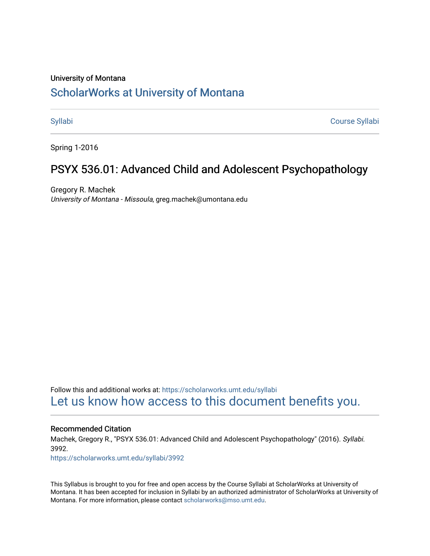### University of Montana

# [ScholarWorks at University of Montana](https://scholarworks.umt.edu/)

[Syllabi](https://scholarworks.umt.edu/syllabi) [Course Syllabi](https://scholarworks.umt.edu/course_syllabi) 

Spring 1-2016

# PSYX 536.01: Advanced Child and Adolescent Psychopathology

Gregory R. Machek University of Montana - Missoula, greg.machek@umontana.edu

Follow this and additional works at: [https://scholarworks.umt.edu/syllabi](https://scholarworks.umt.edu/syllabi?utm_source=scholarworks.umt.edu%2Fsyllabi%2F3992&utm_medium=PDF&utm_campaign=PDFCoverPages)  [Let us know how access to this document benefits you.](https://goo.gl/forms/s2rGfXOLzz71qgsB2) 

#### Recommended Citation

Machek, Gregory R., "PSYX 536.01: Advanced Child and Adolescent Psychopathology" (2016). Syllabi. 3992.

[https://scholarworks.umt.edu/syllabi/3992](https://scholarworks.umt.edu/syllabi/3992?utm_source=scholarworks.umt.edu%2Fsyllabi%2F3992&utm_medium=PDF&utm_campaign=PDFCoverPages)

This Syllabus is brought to you for free and open access by the Course Syllabi at ScholarWorks at University of Montana. It has been accepted for inclusion in Syllabi by an authorized administrator of ScholarWorks at University of Montana. For more information, please contact [scholarworks@mso.umt.edu.](mailto:scholarworks@mso.umt.edu)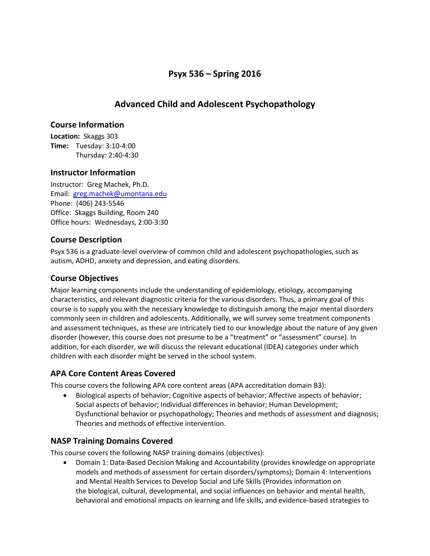# **Psyx 536 – Spring 2016**

# **Advanced Child and Adolescent Psychopathology**

## **Course Information**

**Location:** Skaggs 303 **Time:** Tuesday: 3:10-4:00 Thursday: 2:40-4:30

## **Instructor Information**

Instructor: Greg Machek, Ph.D. Email: [greg.machek@umontana.edu](mailto:greg.machek@umontana.edu) Phone: (406) 243-5546 Office: Skaggs Building, Room 240 Office hours: Wednesdays, 2:00-3:30

# **Course Description**

Psyx 536 is a graduate-level overview of common child and adolescent psychopathologies, such as autism, ADHD, anxiety and depression, and eating disorders.

# **Course Objectives**

Major learning components include the understanding of epidemiology, etiology, accompanying characteristics, and relevant diagnostic criteria for the various disorders. Thus, a primary goal of this course is to supply you with the necessary knowledge to distinguish among the major mental disorders commonly seen in children and adolescents. Additionally, we will survey some treatment components and assessment techniques, as these are intricately tied to our knowledge about the nature of any given disorder (however, this course does not presume to be a "treatment" or "assessment" course). In addition, for each disorder, we will discuss the relevant educational (IDEA) categories under which children with each disorder might be served in the school system.

# **APA Core Content Areas Covered**

This course covers the following APA core content areas (APA accreditation domain B3):

• Biological aspects of behavior; Cognitive aspects of behavior; Affective aspects of behavior; Social aspects of behavior; Individual differences in behavior; Human Development; Dysfunctional behavior or psychopathology; Theories and methods of assessment and diagnosis; Theories and methods of effective intervention.

# **NASP Training Domains Covered**

This course covers the following NASP training domains (objectives):

• Domain 1: Data-Based Decision Making and Accountability (provides knowledge on appropriate models and methods of assessment for certain disorders/symptoms); Domain 4: Interventions and Mental Health Services to Develop Social and Life Skills (Provides information on the biological, cultural, developmental, and social influences on behavior and mental health, behavioral and emotional impacts on learning and life skills, and evidence-based strategies to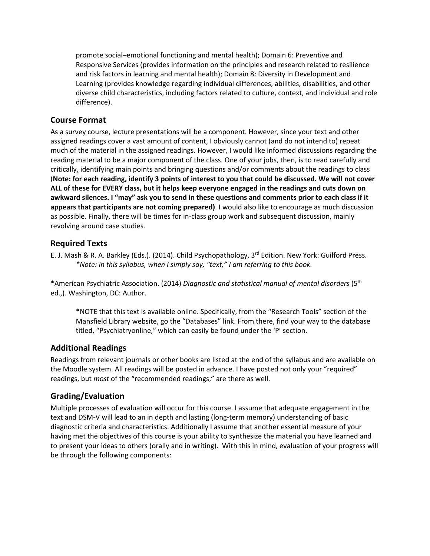promote social–emotional functioning and mental health); Domain 6: Preventive and Responsive Services (provides information on the principles and research related to resilience and risk factors in learning and mental health); Domain 8: Diversity in Development and Learning (provides knowledge regarding individual differences, abilities, disabilities, and other diverse child characteristics, including factors related to culture, context, and individual and role difference).

# **Course Format**

As a survey course, lecture presentations will be a component. However, since your text and other assigned readings cover a vast amount of content, I obviously cannot (and do not intend to) repeat much of the material in the assigned readings. However, I would like informed discussions regarding the reading material to be a major component of the class. One of your jobs, then, is to read carefully and critically, identifying main points and bringing questions and/or comments about the readings to class (**Note: for each reading, identify 3 points of interest to you that could be discussed. We will not cover ALL of these for EVERY class, but it helps keep everyone engaged in the readings and cuts down on awkward silences. I "may" ask you to send in these questions and comments prior to each class if it appears that participants are not coming prepared)**. I would also like to encourage as much discussion as possible. Finally, there will be times for in-class group work and subsequent discussion, mainly revolving around case studies.

## **Required Texts**

E. J. Mash & R. A. Barkley (Eds.). (2014). Child Psychopathology, 3<sup>rd</sup> Edition. New York: Guilford Press. *\*Note: in this syllabus, when I simply say, "text," I am referring to this book.*

\*American Psychiatric Association. (2014) *Diagnostic and statistical manual of mental disorders* (5th ed.,). Washington, DC: Author.

\*NOTE that this text is available online. Specifically, from the "Research Tools" section of the Mansfield Library website, go the "Databases" link. From there, find your way to the database titled, "Psychiatryonline," which can easily be found under the 'P' section.

### **Additional Readings**

Readings from relevant journals or other books are listed at the end of the syllabus and are available on the Moodle system. All readings will be posted in advance. I have posted not only your "required" readings, but *most* of the "recommended readings," are there as well.

# **Grading/Evaluation**

Multiple processes of evaluation will occur for this course. I assume that adequate engagement in the text and DSM-V will lead to an in depth and lasting (long-term memory) understanding of basic diagnostic criteria and characteristics. Additionally I assume that another essential measure of your having met the objectives of this course is your ability to synthesize the material you have learned and to present your ideas to others (orally and in writing). With this in mind, evaluation of your progress will be through the following components: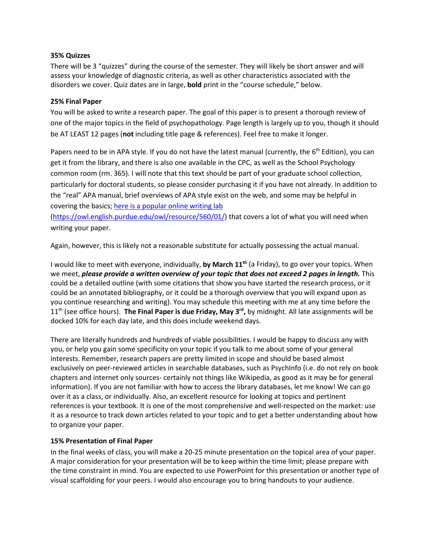### **35% Quizzes**

There will be 3 "quizzes" during the course of the semester. They will likely be short answer and will assess your knowledge of diagnostic criteria, as well as other characteristics associated with the disorders we cover. Quiz dates are in large, **bold** print in the "course schedule," below.

### **25% Final Paper**

You will be asked to write a research paper. The goal of this paper is to present a thorough review of one of the major topics in the field of psychopathology. Page length is largely up to you, though it should be AT LEAST 12 pages (**not** including title page & references). Feel free to make it longer.

Papers need to be in APA style. If you do not have the latest manual (currently, the  $6<sup>th</sup>$  Edition), you can get it from the library, and there is also one available in the CPC, as well as the School Psychology common room (rm. 365). I will note that this text should be part of your graduate school collection, particularly for doctoral students, so please consider purchasing it if you have not already. In addition to the "real" APA manual, brief overviews of APA style exist on the web, and some may be helpful in covering the basics; [here is a popular online writing lab](http://owl.english.purdue.edu/owl/resource/560/01/)

[\(https://owl.english.purdue.edu/owl/resource/560/01/\)](https://owl.english.purdue.edu/owl/resource/560/01/) that covers a lot of what you will need when writing your paper.

Again, however, this is likely not a reasonable substitute for actually possessing the actual manual.

I would like to meet with everyone, individually, **by March 11th** (a Friday), to go over your topics. When we meet, *please provide a written overview of your topic that does not exceed 2 pages in length.* This could be a detailed outline (with some citations that show you have started the research process, or it could be an annotated bibliography, or it could be a thorough overview that you will expand upon as you continue researching and writing). You may schedule this meeting with me at any time before the 11<sup>th</sup> (see office hours). **The Final Paper is due Friday, May 3<sup>rd</sup>,** by midnight. All late assignments will be docked 10% for each day late, and this does include weekend days.

There are literally hundreds and hundreds of viable possibilities. I would be happy to discuss any with you, or help you gain some specificity on your topic if you talk to me about some of your general interests. Remember, research papers are pretty limited in scope and should be based almost exclusively on peer-reviewed articles in searchable databases, such as PsychInfo (i.e. do not rely on book chapters and internet only sources- certainly not things like Wikipedia, as good as it may be for general information). If you are not familiar with how to access the library databases, let me know! We can go over it as a class, or individually. Also, an excellent resource for looking at topics and pertinent references is your textbook. It is one of the most comprehensive and well-respected on the market: use it as a resource to track down articles related to your topic and to get a better understanding about how to organize your paper.

### **15% Presentation of Final Paper**

In the final weeks of class, you will make a 20-25 minute presentation on the topical area of your paper. A major consideration for your presentation will be to keep within the time limit; please prepare with the time constraint in mind. You are expected to use PowerPoint for this presentation or another type of visual scaffolding for your peers. I would also encourage you to bring handouts to your audience.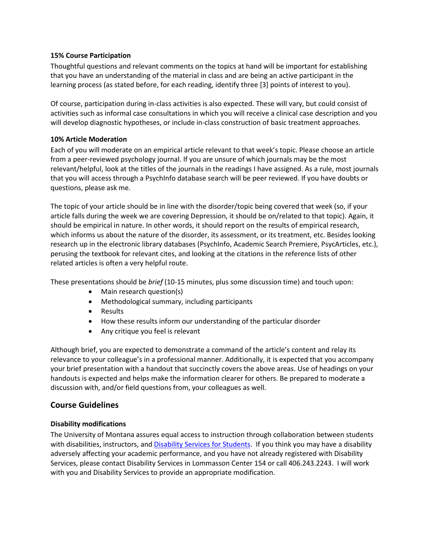### **15% Course Participation**

Thoughtful questions and relevant comments on the topics at hand will be important for establishing that you have an understanding of the material in class and are being an active participant in the learning process (as stated before, for each reading, identify three [3] points of interest to you).

Of course, participation during in-class activities is also expected. These will vary, but could consist of activities such as informal case consultations in which you will receive a clinical case description and you will develop diagnostic hypotheses, or include in-class construction of basic treatment approaches.

### **10% Article Moderation**

Each of you will moderate on an empirical article relevant to that week's topic. Please choose an article from a peer-reviewed psychology journal. If you are unsure of which journals may be the most relevant/helpful, look at the titles of the journals in the readings I have assigned. As a rule, most journals that you will access through a PsychInfo database search will be peer reviewed. If you have doubts or questions, please ask me.

The topic of your article should be in line with the disorder/topic being covered that week (so, if your article falls during the week we are covering Depression, it should be on/related to that topic). Again, it should be empirical in nature. In other words, it should report on the results of empirical research, which informs us about the nature of the disorder, its assessment, or its treatment, etc. Besides looking research up in the electronic library databases (PsychInfo, Academic Search Premiere, PsycArticles, etc.), perusing the textbook for relevant cites, and looking at the citations in the reference lists of other related articles is often a very helpful route.

These presentations should be *brief* (10-15 minutes, plus some discussion time) and touch upon:

- Main research question(s)
- Methodological summary, including participants
- Results
- How these results inform our understanding of the particular disorder
- Any critique you feel is relevant

Although brief, you are expected to demonstrate a command of the article's content and relay its relevance to your colleague's in a professional manner. Additionally, it is expected that you accompany your brief presentation with a handout that succinctly covers the above areas. Use of headings on your handouts is expected and helps make the information clearer for others. Be prepared to moderate a discussion with, and/or field questions from, your colleagues as well.

# **Course Guidelines**

### **Disability modifications**

The University of Montana assures equal access to instruction through collaboration between students with disabilities, instructors, an[d Disability Services for Students.](http://www.umt.edu/dss/) If you think you may have a disability adversely affecting your academic performance, and you have not already registered with Disability Services, please contact Disability Services in Lommasson Center 154 or call 406.243.2243. I will work with you and Disability Services to provide an appropriate modification.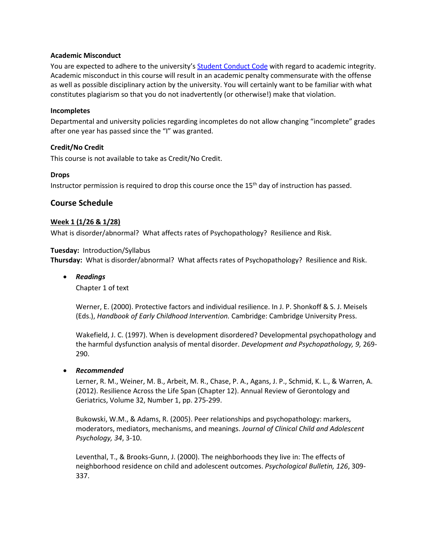#### **Academic Misconduct**

You are expected to adhere to the university's [Student Conduct Code](http://www.umt.edu/vpsa/policies/student_conduct.php) with regard to academic integrity. Academic misconduct in this course will result in an academic penalty commensurate with the offense as well as possible disciplinary action by the university. You will certainly want to be familiar with what constitutes plagiarism so that you do not inadvertently (or otherwise!) make that violation.

#### **Incompletes**

Departmental and university policies regarding incompletes do not allow changing "incomplete" grades after one year has passed since the "I" was granted.

### **Credit/No Credit**

This course is not available to take as Credit/No Credit.

#### **Drops**

Instructor permission is required to drop this course once the 15<sup>th</sup> day of instruction has passed.

### **Course Schedule**

#### **Week 1 (1/26 & 1/28)**

What is disorder/abnormal? What affects rates of Psychopathology? Resilience and Risk.

#### **Tuesday:** Introduction/Syllabus

**Thursday:** What is disorder/abnormal? What affects rates of Psychopathology? Resilience and Risk.

• *Readings*

Chapter 1 of text

Werner, E. (2000). Protective factors and individual resilience. In J. P. Shonkoff & S. J. Meisels (Eds.), *Handbook of Early Childhood Intervention.* Cambridge: Cambridge University Press.

Wakefield, J. C. (1997). When is development disordered? Developmental psychopathology and the harmful dysfunction analysis of mental disorder. *Development and Psychopathology, 9,* 269- 290.

#### • *Recommended*

Lerner, R. M., Weiner, M. B., Arbeit, M. R., Chase, P. A., Agans, J. P., Schmid, K. L., & Warren, A. (2012). Resilience Across the Life Span (Chapter 12). Annual Review of Gerontology and Geriatrics, Volume 32, Number 1, pp. 275-299.

Bukowski, W.M., & Adams, R. (2005). Peer relationships and psychopathology: markers, moderators, mediators, mechanisms, and meanings. *Journal of Clinical Child and Adolescent Psychology, 34*, 3-10.

Leventhal, T., & Brooks-Gunn, J. (2000). The neighborhoods they live in: The effects of neighborhood residence on child and adolescent outcomes. *Psychological Bulletin, 126*, 309- 337.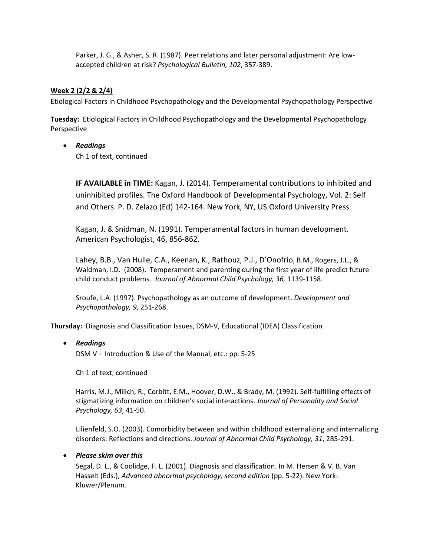Parker, J. G., & Asher, S. R. (1987). Peer relations and later personal adjustment: Are lowaccepted children at risk? *Psychological Bulletin, 102*, 357-389.

### **Week 2 (2/2 & 2/4)**

Etiological Factors in Childhood Psychopathology and the Developmental Psychopathology Perspective

**Tuesday:** Etiological Factors in Childhood Psychopathology and the Developmental Psychopathology Perspective

### • *Readings*

Ch 1 of text, continued

**IF AVAILABLE in TIME:** Kagan, J. (2014). Temperamental contributions to inhibited and uninhibited profiles. The Oxford Handbook of Developmental Psychology, Vol. 2: Self and Others. P. D. Zelazo (Ed) 142-164. New York, NY, US:Oxford University Press

Kagan, J. & Snidman, N. (1991). Temperamental factors in human development. American Psychologist, 46, 856-862.

Lahey, B.B., Van Hulle, C.A., Keenan, K., Rathouz, P.J., D'Onofrio, B.M., Rogers, J.L., & Waldman, I.D. (2008). Temperament and parenting during the first year of life predict future child conduct problems. *Journal of Abnormal Child Psychology, 36,* 1139-1158.

Sroufe, L.A. (1997). Psychopathology as an outcome of development. *Development and Psychopathology, 9*, 251-268.

**Thursday:** Diagnosis and Classification Issues, DSM-V, Educational (IDEA) Classification

### • *Readings*

DSM V – Introduction & Use of the Manual, etc.: pp. 5-25

Ch 1 of text, continued

Harris, M.J., Milich, R., Corbitt, E.M., Hoover, D.W., & Brady, M. (1992). Self-fulfilling effects of stigmatizing information on children's social interactions. *Journal of Personality and Social Psychology, 63*, 41-50.

Lilienfeld, S.O. (2003). Comorbidity between and within childhood externalizing and internalizing disorders: Reflections and directions. *Journal of Abnormal Child Psychology, 31*, 285-291.

### • *Please skim over this*

Segal, D. L., & Coolidge, F. L. (2001). Diagnosis and classification. In M. Hersen & V. B. Van Hasselt (Eds.), *Advanced abnormal psychology, second edition* (pp. 5-22). New York: Kluwer/Plenum.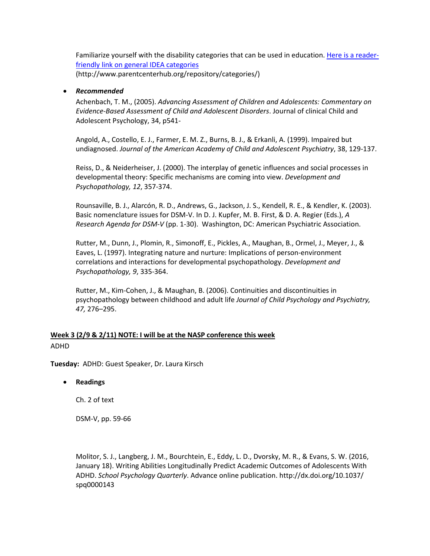Familiarize yourself with the disability categories that can be used in education. [Here is a reader](http://www.parentcenterhub.org/repository/categories/)[friendly link on general IDEA categories](http://www.parentcenterhub.org/repository/categories/) (http://www.parentcenterhub.org/repository/categories/)

### • *Recommended*

Achenbach, T. M., (2005). *Advancing Assessment of Children and Adolescents: Commentary on Evidence-Based Assessment of Child and Adolescent Disorders*. Journal of clinical Child and Adolescent Psychology, 34, p541-

Angold, A., Costello, E. J., Farmer, E. M. Z., Burns, B. J., & Erkanli, A. (1999). Impaired but undiagnosed. *Journal of the American Academy of Child and Adolescent Psychiatry*, 38, 129-137.

Reiss, D., & Neiderheiser, J. (2000). The interplay of genetic influences and social processes in developmental theory: Specific mechanisms are coming into view. *Development and Psychopathology, 12*, 357-374.

Rounsaville, B. J., Alarcón, R. D., Andrews, G., Jackson, J. S., Kendell, R. E., & Kendler, K. (2003). Basic nomenclature issues for DSM-V. In D. J. Kupfer, M. B. First, & D. A. Regier (Eds.), *A Research Agenda for DSM-V* (pp. 1-30). Washington, DC: American Psychiatric Association.

Rutter, M., Dunn, J., Plomin, R., Simonoff, E., Pickles, A., Maughan, B., Ormel, J., Meyer, J., & Eaves, L. (1997). Integrating nature and nurture: Implications of person-environment correlations and interactions for developmental psychopathology. *Development and Psychopathology, 9*, 335-364.

Rutter, M., Kim-Cohen, J., & Maughan, B. (2006). Continuities and discontinuities in psychopathology between childhood and adult life *Journal of Child Psychology and Psychiatry, 47,* 276–295.

### **Week 3 (2/9 & 2/11) NOTE: I will be at the NASP conference this week** ADHD

**Tuesday:** ADHD: Guest Speaker, Dr. Laura Kirsch

• **Readings**

Ch. 2 of text

DSM-V, pp. 59-66

Molitor, S. J., Langberg, J. M., Bourchtein, E., Eddy, L. D., Dvorsky, M. R., & Evans, S. W. (2016, January 18). Writing Abilities Longitudinally Predict Academic Outcomes of Adolescents With ADHD. *School Psychology Quarterly*. Advance online publication. http://dx.doi.org/10.1037/ spq0000143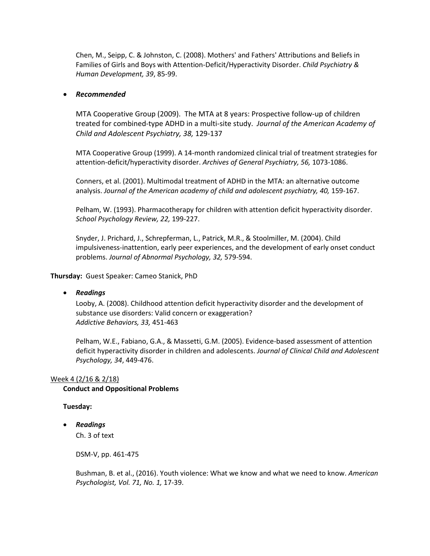Chen, M., Seipp, C. & Johnston, C. (2008). Mothers' and Fathers' Attributions and Beliefs in Families of Girls and Boys with Attention-Deficit/Hyperactivity Disorder. *Child Psychiatry & Human Development, 39*, 85-99.

### • *Recommended*

MTA Cooperative Group (2009). The MTA at 8 years: Prospective follow-up of children treated for combined-type ADHD in a multi-site study. *Journal of the American Academy of Child and Adolescent Psychiatry, 38,* 129-137

MTA Cooperative Group (1999). A 14-month randomized clinical trial of treatment strategies for attention-deficit/hyperactivity disorder. *Archives of General Psychiatry, 56,* 1073-1086.

Conners, et al. (2001). Multimodal treatment of ADHD in the MTA: an alternative outcome analysis. *Journal of the American academy of child and adolescent psychiatry, 40,* 159-167.

Pelham, W. (1993). Pharmacotherapy for children with attention deficit hyperactivity disorder. *School Psychology Review, 22,* 199-227.

Snyder, J. Prichard, J., Schrepferman, L., Patrick, M.R., & Stoolmiller, M. (2004). Child impulsiveness-inattention, early peer experiences, and the development of early onset conduct problems. *Journal of Abnormal Psychology, 32,* 579-594.

**Thursday:** Guest Speaker: Cameo Stanick, PhD

### • *Readings*

Looby, A. (2008). Childhood attention deficit hyperactivity disorder and the development of substance use disorders: Valid concern or exaggeration? *Addictive Behaviors, 33,* 451-463

Pelham, W.E., Fabiano, G.A., & Massetti, G.M. (2005). Evidence-based assessment of attention deficit hyperactivity disorder in children and adolescents. *Journal of Clinical Child and Adolescent Psychology, 34*, 449-476.

#### Week 4 (2/16 & 2/18)

#### **Conduct and Oppositional Problems**

### **Tuesday:**

• *Readings*

Ch. 3 of text

DSM-V, pp. 461-475

Bushman, B. et al., (2016). Youth violence: What we know and what we need to know. *American Psychologist, Vol. 71, No. 1,* 17-39.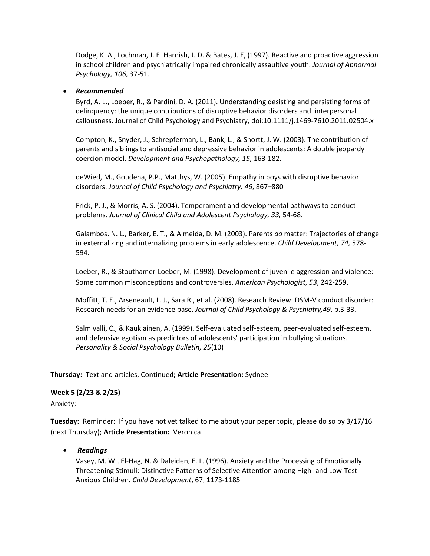Dodge, K. A., Lochman, J. E. Harnish, J. D. & [Bates, J. E,](http://www-md3.csa.com/ids70/p_search_form.php?field=au&query=bates+john+e&log=literal&SID=f5d57d346b89d37d89b772968a93530e) (1997). [Reactive and proactive aggression](http://www-md3.csa.com/ids70/view_record.php?id=4&recnum=96&SID=f5d57d346b89d37d89b772968a93530e)  [in school children and psychiatrically impaired chronically assaultive youth.](http://www-md3.csa.com/ids70/view_record.php?id=4&recnum=96&SID=f5d57d346b89d37d89b772968a93530e) *Journal of Abnormal Psychology, 106*, 37-51.

### • *Recommended*

Byrd, A. L., Loeber, R., & Pardini, D. A. (2011). Understanding desisting and persisting forms of delinquency: the unique contributions of disruptive behavior disorders and interpersonal callousness. Journal of Child Psychology and Psychiatry, doi:10.1111/j.1469-7610.2011.02504.x

Compton, K., Snyder, J., Schrepferman, L., Bank, L., & Shortt, J. W. (2003). The contribution of parents and siblings to antisocial and depressive behavior in adolescents: A double jeopardy coercion model. *Development and Psychopathology, 15,* 163-182.

deWied, M., Goudena, P.P., Matthys, W. (2005). Empathy in boys with disruptive behavior disorders. *Journal of Child Psychology and Psychiatry, 46*, 867–880

Frick, P. J., & Morris, A. S. (2004). Temperament and developmental pathways to conduct problems. *Journal of Clinical Child and Adolescent Psychology, 33,* 54-68.

Galambos, N. L., Barker, E. T., & Almeida, D. M. (2003). Parents *do* matter: Trajectories of change in externalizing and internalizing problems in early adolescence. *Child Development, 74,* 578- 594.

Loeber, R., & Stouthamer-Loeber, M. (1998). Development of juvenile aggression and violence: Some common misconceptions and controversies. *American Psychologist, 53*, 242-259.

Moffitt, T. E., Arseneault, L. J., Sara R., et al. (2008). Research Review: DSM-V conduct disorder: Research needs for an evidence base. *Journal of Child Psychology & Psychiatry,49*, p.3-33.

Salmivalli, C., & Kaukiainen, A. (1999). Self-evaluated self-esteem, peer-evaluated self-esteem, and defensive egotism as predictors of adolescents' participation in bullying situations. *Personality & Social Psychology Bulletin, 25*(10)

**Thursday:** Text and articles, Continued**; Article Presentation:** Sydnee

### **Week 5 (2/23 & 2/25)**

Anxiety;

**Tuesday:** Reminder: If you have not yet talked to me about your paper topic, please do so by 3/17/16 (next Thursday); **Article Presentation:** Veronica

• *Readings*

Vasey, M. W., El-Hag, N. & Daleiden, E. L. (1996). Anxiety and the Processing of Emotionally Threatening Stimuli: Distinctive Patterns of Selective Attention among High- and Low-Test-Anxious Children. *Child Development*, 67, 1173-1185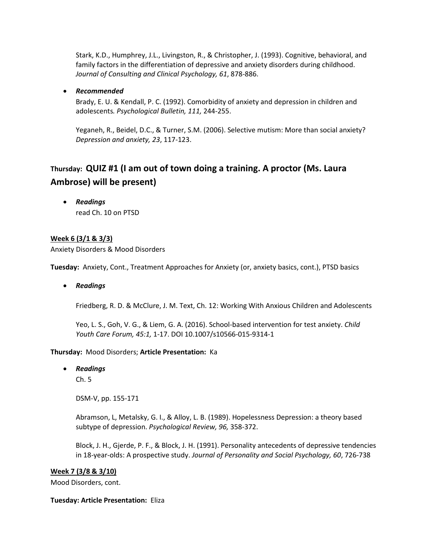Stark, K.D., Humphrey, J.L., Livingston, R., & Christopher, J. (1993). Cognitive, behavioral, and family factors in the differentiation of depressive and anxiety disorders during childhood. *Journal of Consulting and Clinical Psychology, 61*, 878-886.

### • *Recommended*

Brady, E. U. & Kendall, P. C. (1992). Comorbidity of anxiety and depression in children and adolescents*. Psychological Bulletin, 111,* 244-255.

Yeganeh, R., Beidel, D.C., & Turner, S.M. (2006). Selective mutism: More than social anxiety? *Depression and anxiety, 23*, 117-123.

# **Thursday: QUIZ #1 (I am out of town doing a training. A proctor (Ms. Laura Ambrose) will be present)**

• *Readings* read Ch. 10 on PTSD

### **Week 6 (3/1 & 3/3)**

Anxiety Disorders & Mood Disorders

**Tuesday:** Anxiety, Cont., Treatment Approaches for Anxiety (or, anxiety basics, cont.), PTSD basics

• *Readings*

Friedberg, R. D. & McClure, J. M. Text, Ch. 12: Working With Anxious Children and Adolescents

Yeo, L. S., Goh, V. G., & Liem, G. A. (2016). School-based intervention for test anxiety. *Child Youth Care Forum, 45:1,* 1-17. DOI 10.1007/s10566-015-9314-1

### **Thursday:** Mood Disorders; **Article Presentation:** Ka

• *Readings*

Ch. 5

DSM-V, pp. 155-171

Abramson, L, Metalsky, G. I., & Alloy, L. B. (1989). Hopelessness Depression: a theory based subtype of depression. *Psychological Review, 96,* 358-372.

Block, J. H., Gjerde, P. F., & Block, J. H. (1991). Personality antecedents of depressive tendencies in 18-year-olds: A prospective study. *Journal of Personality and Social Psychology, 60*, 726-738

### **Week 7 (3/8 & 3/10)**

Mood Disorders, cont.

### **Tuesday: Article Presentation:** Eliza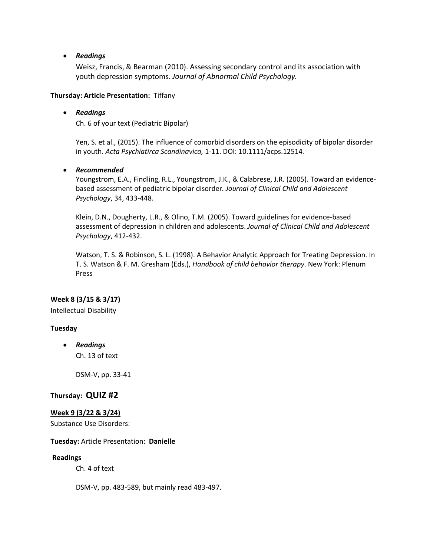### • *Readings*

Weisz, Francis, & Bearman (2010). Assessing secondary control and its association with youth depression symptoms. *Journal of Abnormal Child Psychology.*

### **Thursday: Article Presentation:** Tiffany

### • *Readings*

Ch. 6 of your text (Pediatric Bipolar)

Yen, S. et al., (2015). The influence of comorbid disorders on the episodicity of bipolar disorder in youth. *Acta Psychiatirca Scandinavica,* 1-11. DOI: 10.1111/acps.12514.

### • *Recommended*

Youngstrom, E.A., Findling, R.L., Youngstrom, J.K., & Calabrese, J.R. (2005). Toward an evidencebased assessment of pediatric bipolar disorder*. Journal of Clinical Child and Adolescent Psychology*, 34, 433-448.

Klein, D.N., Dougherty, L.R., & Olino, T.M. (2005). Toward guidelines for evidence-based assessment of depression in children and adolescents. *Journal of Clinical Child and Adolescent Psychology*, 412-432.

Watson, T. S. & Robinson, S. L. (1998). A Behavior Analytic Approach for Treating Depression. In T. S. Watson & F. M. Gresham (Eds.), *Handbook of child behavior therapy*. New York: Plenum Press

### **Week 8 (3/15 & 3/17)**

Intellectual Disability

### **Tuesday**

• *Readings* Ch. 13 of text

DSM-V, pp. 33-41

### **Thursday: QUIZ #2**

### **Week 9 (3/22 & 3/24)**

Substance Use Disorders:

### **Tuesday:** Article Presentation: **Danielle**

#### **Readings**

Ch. 4 of text

DSM-V, pp. 483-589, but mainly read 483-497.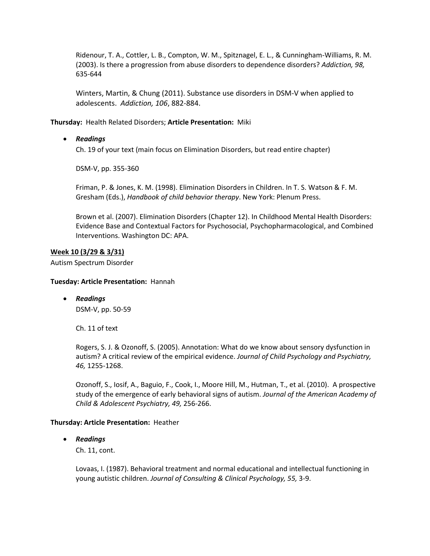Ridenour, T. A., Cottler, L. B., Compton, W. M., Spitznagel, E. L., & Cunningham-Williams, R. M. (2003). Is there a progression from abuse disorders to dependence disorders? *Addiction, 98,* 635-644

Winters, Martin, & Chung (2011). Substance use disorders in DSM-V when applied to adolescents. *Addiction, 106*, 882-884.

**Thursday:** Health Related Disorders; **Article Presentation:** Miki

### • *Readings*

Ch. 19 of your text (main focus on Elimination Disorders, but read entire chapter)

DSM-V, pp. 355-360

Friman, P. & Jones, K. M. (1998). Elimination Disorders in Children. In T. S. Watson & F. M. Gresham (Eds.), *Handbook of child behavior therapy*. New York: Plenum Press.

Brown et al. (2007). Elimination Disorders (Chapter 12). In Childhood Mental Health Disorders: Evidence Base and Contextual Factors for Psychosocial, Psychopharmacological, and Combined Interventions. Washington DC: APA.

### **Week 10 (3/29 & 3/31)**

Autism Spectrum Disorder

#### **Tuesday: Article Presentation:** Hannah

• *Readings* DSM-V, pp. 50-59

Ch. 11 of text

[Rogers, S.](http://www-ca2.csa.com/ids70/p_search_form.php?field=au&query=rogers+sally+j&log=literal&SID=9e9ece536cfe0ba38f28392278df96ef) J. & [Ozonoff, S.](http://www-ca2.csa.com/ids70/p_search_form.php?field=au&query=ozonoff+sally&log=literal&SID=9e9ece536cfe0ba38f28392278df96ef) (2005)[. Annotation: What do we know about sensory dysfunction in](http://www-ca2.csa.com/ids70/view_record.php?id=10&recnum=4&SID=9e9ece536cfe0ba38f28392278df96ef)  autism? A critical review [of the empirical evidence.](http://www-ca2.csa.com/ids70/view_record.php?id=10&recnum=4&SID=9e9ece536cfe0ba38f28392278df96ef) *Journal of Child Psychology and Psychiatry, 46,* 1255-1268.

Ozonoff, S., Iosif, A., Baguio, F., Cook, I., Moore Hill, M., Hutman, T., et al. (2010). A prospective study of the emergence of early behavioral signs of autism. *Journal of the American Academy of Child & Adolescent Psychiatry, 49,* 256-266.

#### **Thursday: Article Presentation:** Heather

### • *Readings*

Ch. 11, cont.

Lovaas, I. (1987). Behavioral treatment and normal educational and intellectual functioning in young autistic children. *Journal of Consulting & Clinical Psychology, 55,* 3-9.